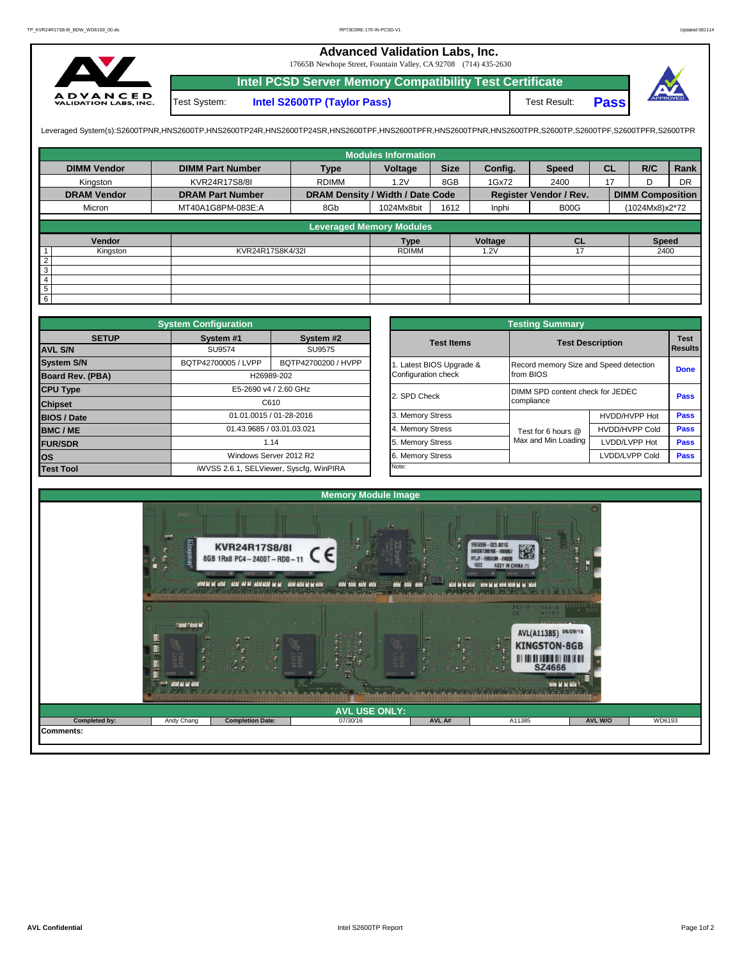## **Advanced Validation Labs, Inc.**

17665B Newhope Street, Fountain Valley, CA 92708 (714) 435-2630



**Intel PCSD Server Memory Compatibility Test Certificate Pass** Test System: **Intel S2600TP (Taylor Pass)** Test Result:



Leveraged System(s):S2600TPNR,HNS2600TP,HNS2600TP24R,HNS2600TP24SR,HNS2600TPF,HNS2600TPRR,HNS2600TPR,S2600TPR,S2600TPR,S2600TPR,S2600TPR,S2600TPFR,S2600TPFR,

|                    |                         |                                  | <b>Modules Information</b> |             |         |                               |           |                         |           |
|--------------------|-------------------------|----------------------------------|----------------------------|-------------|---------|-------------------------------|-----------|-------------------------|-----------|
| <b>DIMM Vendor</b> | <b>DIMM Part Number</b> | <b>Type</b>                      | Voltage                    | <b>Size</b> | Config. | <b>Speed</b>                  | <b>CL</b> | R/C                     | Rank      |
| Kingston           | KVR24R17S8/8I           | <b>RDIMM</b>                     | 1.2V                       | 8GB         | 1Gx72   | 2400                          | 17        | ח                       | <b>DR</b> |
| <b>DRAM Vendor</b> | <b>DRAM Part Number</b> | DRAM Density / Width / Date Code |                            |             |         | <b>Register Vendor / Rev.</b> |           | <b>DIMM Composition</b> |           |
| Micron             | MT40A1G8PM-083E:A       | 8Gb                              | 1024Mx8bit                 | 1612        | Inphi   | B <sub>0</sub> O <sub>G</sub> |           | (1024Mx8)x2*72          |           |
|                    |                         | <b>Leveraged Memory Modules</b>  |                            |             |         |                               |           |                         |           |
|                    |                         |                                  |                            |             |         |                               |           |                         |           |
| Vendor             |                         |                                  | <b>Type</b>                |             | Voltage | <b>CL</b>                     |           | <b>Speed</b>            |           |
| Kingston           | KVR24R17S8K4/32I        |                                  | <b>RDIMM</b>               |             | 1.2V    |                               |           | 2400                    |           |
| $\overline{2}$     |                         |                                  |                            |             |         |                               |           |                         |           |
| 3                  |                         |                                  |                            |             |         |                               |           |                         |           |
| 4                  |                         |                                  |                            |             |         |                               |           |                         |           |
| 5                  |                         |                                  |                            |             |         |                               |           |                         |           |
| $6\overline{6}$    |                         |                                  |                            |             |         |                               |           |                         |           |

|                         | <b>System Configuration</b>             |                         |                       | <b>Testing Summary</b>                 |                                                |             |  |  |
|-------------------------|-----------------------------------------|-------------------------|-----------------------|----------------------------------------|------------------------------------------------|-------------|--|--|
| <b>SETUP</b>            | System #1                               | System #2               | <b>Test Items</b>     |                                        | <b>Test Description</b>                        |             |  |  |
| <b>AVL S/N</b>          | SU9574                                  | SU9575                  |                       |                                        |                                                |             |  |  |
| <b>System S/N</b>       | BQTP42700005 / LVPP                     | BQTP42700200 / HVPP     | Latest BIOS Upgrade & | Record memory Size and Speed detection |                                                | <b>Done</b> |  |  |
| <b>Board Rev. (PBA)</b> |                                         | H26989-202              | Configuration check   | from BIOS                              |                                                |             |  |  |
| <b>CPU Type</b>         |                                         | E5-2690 v4 / 2.60 GHz   | 2. SPD Check          |                                        | DIMM SPD content check for JEDEC<br>compliance |             |  |  |
| <b>Chipset</b>          |                                         | C610                    |                       |                                        |                                                |             |  |  |
| <b>BIOS / Date</b>      |                                         | 01.01.0015 / 01-28-2016 | 3. Memory Stress      |                                        | HVDD/HVPP Hot                                  | <b>Pass</b> |  |  |
| <b>BMC/ME</b>           | 01.43.9685 / 03.01.03.021               |                         | 4. Memory Stress      | Test for 6 hours @                     | <b>HVDD/HVPP Cold</b>                          | Pass        |  |  |
| <b>FUR/SDR</b>          |                                         | 1.14                    | 5. Memory Stress      | Max and Min Loading                    | LVDD/LVPP Hot                                  | <b>Pass</b> |  |  |
| <b>los</b>              |                                         | Windows Server 2012 R2  | 6. Memory Stress      |                                        | LVDD/LVPP Cold                                 | Pass        |  |  |
| <b>Test Tool</b>        | iWVSS 2.6.1, SELViewer, Syscfg, WinPIRA |                         | Note:                 |                                        |                                                |             |  |  |

|              | <b>System Configuration</b> |                                         |                     | <b>Testing Summary</b>                 |                                  |                               |  |  |
|--------------|-----------------------------|-----------------------------------------|---------------------|----------------------------------------|----------------------------------|-------------------------------|--|--|
| <b>SETUP</b> | System #1                   | System #2                               | <b>Test Items</b>   | <b>Test Description</b>                |                                  | <b>Test</b><br><b>Results</b> |  |  |
|              | SU9574                      | SU9575                                  |                     |                                        |                                  |                               |  |  |
|              | BQTP42700005 / LVPP         | BQTP42700200 / HVPP                     |                     | Record memory Size and Speed detection |                                  |                               |  |  |
| PBA)         |                             | H26989-202                              | Configuration check | from BIOS                              |                                  | <b>Done</b>                   |  |  |
|              |                             | E5-2690 v4 / 2.60 GHz                   | 2. SPD Check        |                                        | DIMM SPD content check for JEDEC |                               |  |  |
|              |                             | C610                                    |                     | compliance                             |                                  | Pass                          |  |  |
|              |                             | 01.01.0015 / 01-28-2016                 | 3. Memory Stress    |                                        | HVDD/HVPP Hot                    | Pass                          |  |  |
|              | 01.43.9685 / 03.01.03.021   |                                         | 4. Memory Stress    | Test for 6 hours @                     | <b>HVDD/HVPP Cold</b>            | Pass                          |  |  |
|              |                             | 1.14                                    | 5. Memory Stress    | Max and Min Loading                    | LVDD/LVPP Hot                    | Pass                          |  |  |
|              |                             | Windows Server 2012 R2                  | 6. Memory Stress    |                                        | LVDD/LVPP Cold                   | Pass                          |  |  |
|              |                             | iWVSS 2.6.1, SELViewer, Syscfq, WinPIRA | Note:               |                                        |                                  |                               |  |  |